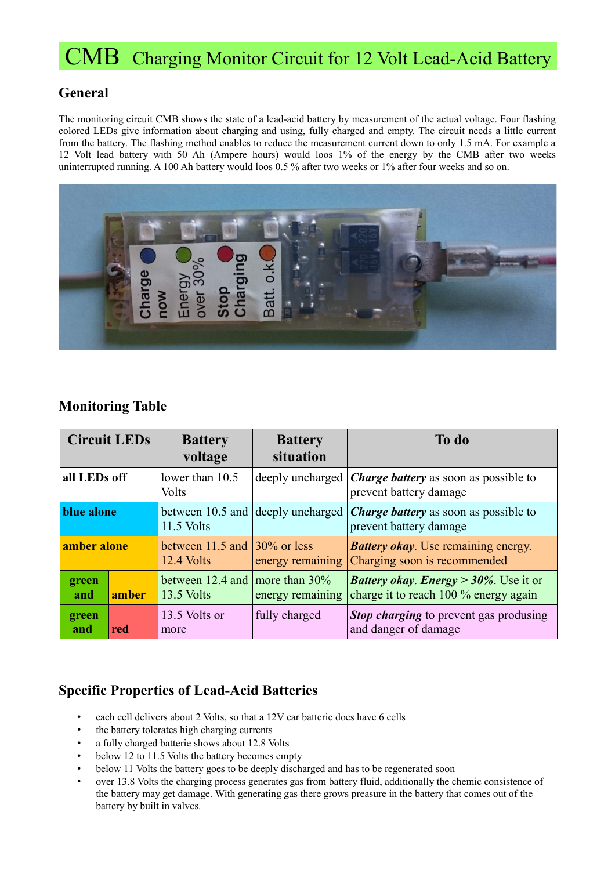# CMB Charging Monitor Circuit for 12 Volt Lead-Acid Battery

### **General**

The monitoring circuit CMB shows the state of a lead-acid battery by measurement of the actual voltage. Four flashing colored LEDs give information about charging and using, fully charged and empty. The circuit needs a little current from the battery. The flashing method enables to reduce the measurement current down to only 1.5 mA. For example a 12 Volt lead battery with 50 Ah (Ampere hours) would loos 1% of the energy by the CMB after two weeks uninterrupted running. A 100 Ah battery would loos 0.5 % after two weeks or 1% after four weeks and so on.



#### **Monitoring Table**

| <b>Circuit LEDs</b> |       | <b>Battery</b><br>voltage                       | <b>Battery</b><br>situation              | To do                                                                                      |
|---------------------|-------|-------------------------------------------------|------------------------------------------|--------------------------------------------------------------------------------------------|
| all LEDs off        |       | lower than $10.5$<br><b>Volts</b>               |                                          | deeply uncharged $ Charge$ <i>battery</i> as soon as possible to<br>prevent battery damage |
| blue alone          |       | 11.5 Volts                                      | between 10.5 and $\deg$ deeply uncharged | <b>Charge battery</b> as soon as possible to<br>prevent battery damage                     |
| amber alone         |       | between 11.5 and $ 30\%$ or less<br>12.4 Volts  | energy remaining                         | <b>Battery okay.</b> Use remaining energy.<br>Charging soon is recommended                 |
| green<br>and        | amber | between 12.4 and more than $30\%$<br>13.5 Volts | energy remaining                         | <b>Battery okay. Energy</b> > $30\%$ . Use it or<br>charge it to reach 100 % energy again  |
| green<br>and        | red   | 13.5 Volts or<br>more                           | fully charged                            | <b>Stop charging</b> to prevent gas produsing<br>and danger of damage                      |

#### **Specific Properties of Lead-Acid Batteries**

- each cell delivers about 2 Volts, so that a 12V car batterie does have 6 cells
- the battery tolerates high charging currents
- a fully charged batterie shows about 12.8 Volts
- below 12 to 11.5 Volts the battery becomes empty
- below 11 Volts the battery goes to be deeply discharged and has to be regenerated soon
- over 13.8 Volts the charging process generates gas from battery fluid, additionally the chemic consistence of the battery may get damage. With generating gas there grows preasure in the battery that comes out of the battery by built in valves.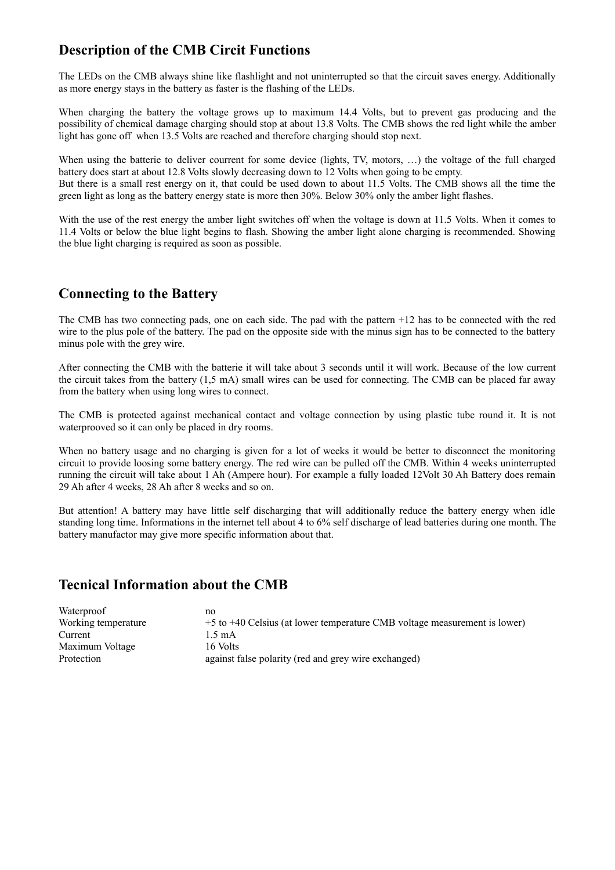# **Description of the CMB Circit Functions**

The LEDs on the CMB always shine like flashlight and not uninterrupted so that the circuit saves energy. Additionally as more energy stays in the battery as faster is the flashing of the LEDs.

When charging the battery the voltage grows up to maximum 14.4 Volts, but to prevent gas producing and the possibility of chemical damage charging should stop at about 13.8 Volts. The CMB shows the red light while the amber light has gone off when 13.5 Volts are reached and therefore charging should stop next.

When using the batterie to deliver courrent for some device (lights, TV, motors, ...) the voltage of the full charged battery does start at about 12.8 Volts slowly decreasing down to 12 Volts when going to be empty. But there is a small rest energy on it, that could be used down to about 11.5 Volts. The CMB shows all the time the

green light as long as the battery energy state is more then 30%. Below 30% only the amber light flashes.

With the use of the rest energy the amber light switches off when the voltage is down at 11.5 Volts. When it comes to 11.4 Volts or below the blue light begins to flash. Showing the amber light alone charging is recommended. Showing the blue light charging is required as soon as possible.

## **Connecting to the Battery**

The CMB has two connecting pads, one on each side. The pad with the pattern +12 has to be connected with the red wire to the plus pole of the battery. The pad on the opposite side with the minus sign has to be connected to the battery minus pole with the grey wire.

After connecting the CMB with the batterie it will take about 3 seconds until it will work. Because of the low current the circuit takes from the battery (1,5 mA) small wires can be used for connecting. The CMB can be placed far away from the battery when using long wires to connect.

The CMB is protected against mechanical contact and voltage connection by using plastic tube round it. It is not waterprooved so it can only be placed in dry rooms.

When no battery usage and no charging is given for a lot of weeks it would be better to disconnect the monitoring circuit to provide loosing some battery energy. The red wire can be pulled off the CMB. Within 4 weeks uninterrupted running the circuit will take about 1 Ah (Ampere hour). For example a fully loaded 12Volt 30 Ah Battery does remain 29 Ah after 4 weeks, 28 Ah after 8 weeks and so on.

But attention! A battery may have little self discharging that will additionally reduce the battery energy when idle standing long time. Informations in the internet tell about 4 to 6% self discharge of lead batteries during one month. The battery manufactor may give more specific information about that.

### **Tecnical Information about the CMB**

| Waterproof          | no                                                                        |
|---------------------|---------------------------------------------------------------------------|
| Working temperature | +5 to +40 Celsius (at lower temperature CMB voltage measurement is lower) |
| Current             | 1.5 mA                                                                    |
| Maximum Voltage     | 16 Volts                                                                  |
| Protection          | against false polarity (red and grey wire exchanged)                      |